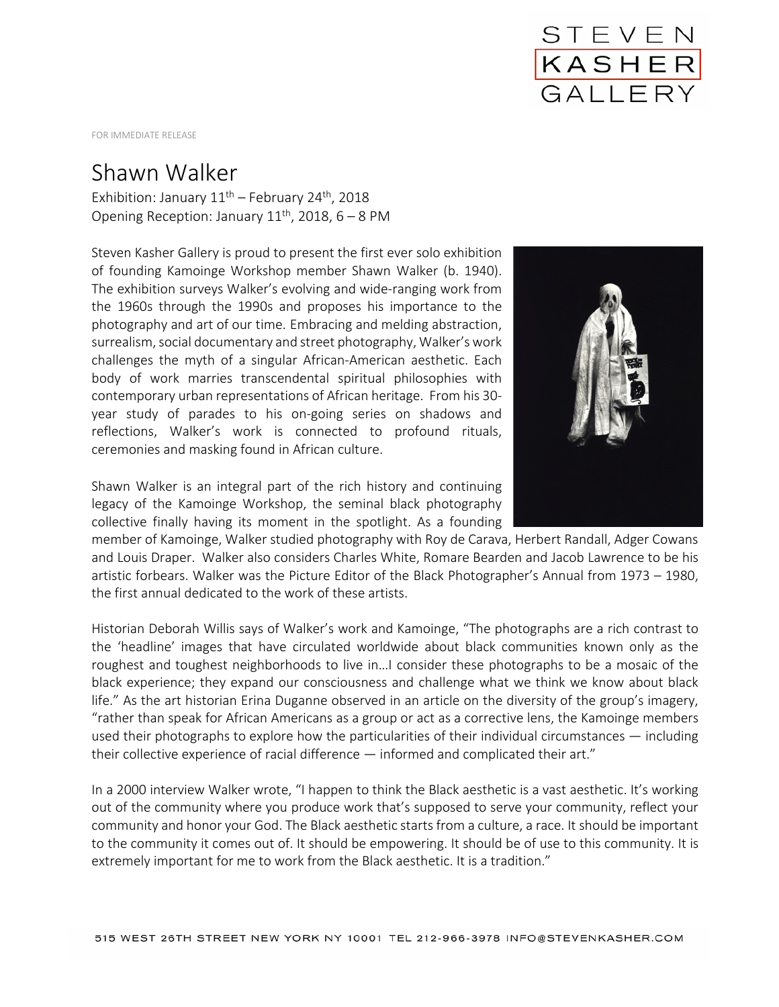

FOR IMMEDIATE RELEASE

## Shawn Walker

Exhibition: January  $11<sup>th</sup>$  – February 24<sup>th</sup>, 2018 Opening Reception: January  $11^{th}$ , 2018, 6 – 8 PM

Steven Kasher Gallery is proud to present the first ever solo exhibition of founding Kamoinge Workshop member Shawn Walker (b. 1940). The exhibition surveys Walker's evolving and wide-ranging work from the 1960s through the 1990s and proposes his importance to the photography and art of our time. Embracing and melding abstraction, surrealism, social documentary and street photography, Walker's work challenges the myth of a singular African-American aesthetic. Each body of work marries transcendental spiritual philosophies with contemporary urban representations of African heritage. From his 30 year study of parades to his on-going series on shadows and reflections, Walker's work is connected to profound rituals, ceremonies and masking found in African culture.



Shawn Walker is an integral part of the rich history and continuing legacy of the Kamoinge Workshop, the seminal black photography collective finally having its moment in the spotlight. As a founding

member of Kamoinge, Walker studied photography with Roy de Carava, Herbert Randall, Adger Cowans and Louis Draper. Walker also considers Charles White, Romare Bearden and Jacob Lawrence to be his artistic forbears. Walker was the Picture Editor of the Black Photographer's Annual from 1973 – 1980, the first annual dedicated to the work of these artists.

Historian Deborah Willis says of Walker's work and Kamoinge, "The photographs are a rich contrast to the 'headline' images that have circulated worldwide about black communities known only as the roughest and toughest neighborhoods to live in…I consider these photographs to be a mosaic of the black experience; they expand our consciousness and challenge what we think we know about black life." As the art historian Erina Duganne observed in an article on the diversity of the group's imagery, "rather than speak for African Americans as a group or act as a corrective lens, the Kamoinge members used their photographs to explore how the particularities of their individual circumstances — including their collective experience of racial difference — informed and complicated their art."

In a 2000 interview Walker wrote, "I happen to think the Black aesthetic is a vast aesthetic. It's working out of the community where you produce work that's supposed to serve your community, reflect your community and honor your God. The Black aesthetic starts from a culture, a race. It should be important to the community it comes out of. It should be empowering. It should be of use to this community. It is extremely important for me to work from the Black aesthetic. It is a tradition."